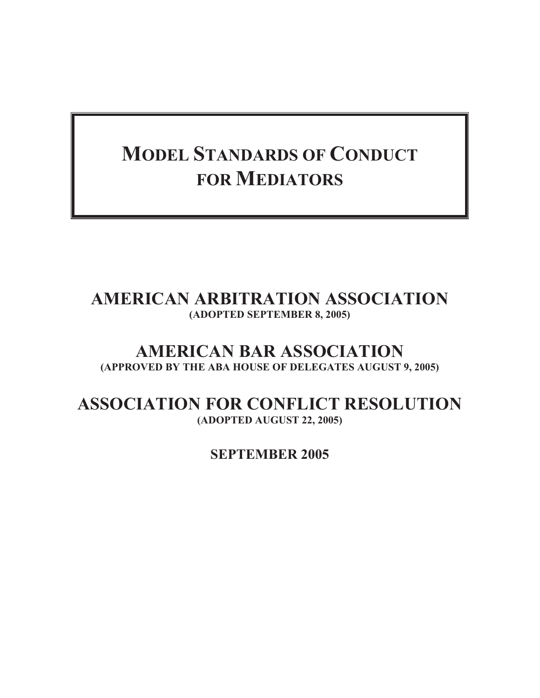# **MODEL STANDARDS OF CONDUCT FOR MEDIATORS**

## **AMERICAN ARBITRATION ASSOCIATION (ADOPTED SEPTEMBER 8, 2005)**

# **AMERICAN BAR ASSOCIATION**

**(APPROVED BY THE ABA HOUSE OF DELEGATES AUGUST 9, 2005)** 

### **ASSOCIATION FOR CONFLICT RESOLUTION (ADOPTED AUGUST 22, 2005)**

### **SEPTEMBER 2005**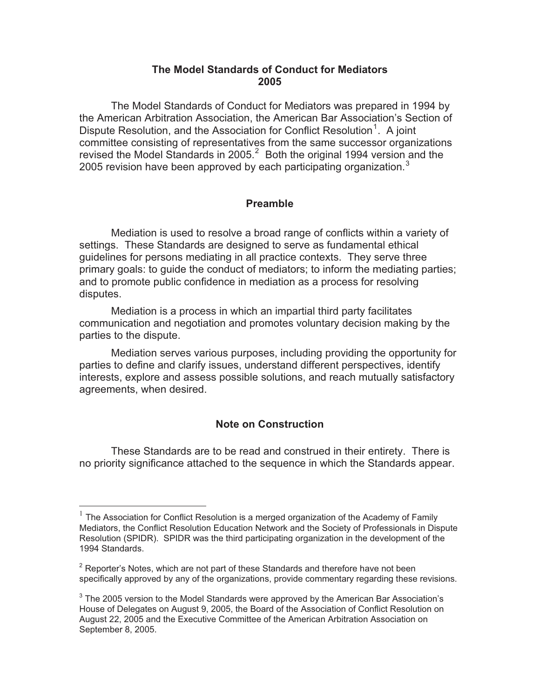#### **The Model Standards of Conduct for Mediators 2005**

The Model Standards of Conduct for Mediators was prepared in 1994 by the American Arbitration Association, the American Bar Association's Section of Dispute Resolution, and the Association for Conflict Resolution<sup>1</sup>. A joint committee consisting of representatives from the same successor organizations revised the Model Standards in 2005. $^2$  Both the original 1994 version and the 2005 revision have been approved by each participating organization.<sup>3</sup>

#### **Preamble**

 Mediation is used to resolve a broad range of conflicts within a variety of settings. These Standards are designed to serve as fundamental ethical guidelines for persons mediating in all practice contexts. They serve three primary goals: to guide the conduct of mediators; to inform the mediating parties; and to promote public confidence in mediation as a process for resolving disputes.

Mediation is a process in which an impartial third party facilitates communication and negotiation and promotes voluntary decision making by the parties to the dispute.

Mediation serves various purposes, including providing the opportunity for parties to define and clarify issues, understand different perspectives, identify interests, explore and assess possible solutions, and reach mutually satisfactory agreements, when desired.

#### **Note on Construction**

These Standards are to be read and construed in their entirety. There is no priority significance attached to the sequence in which the Standards appear.

 $\overline{a}$ 

<sup>1</sup> The Association for Conflict Resolution is a merged organization of the Academy of Family Mediators, the Conflict Resolution Education Network and the Society of Professionals in Dispute Resolution (SPIDR). SPIDR was the third participating organization in the development of the 1994 Standards.

 $2$  Reporter's Notes, which are not part of these Standards and therefore have not been specifically approved by any of the organizations, provide commentary regarding these revisions.

 $^3$  The 2005 version to the Model Standards were approved by the American Bar Association's House of Delegates on August 9, 2005, the Board of the Association of Conflict Resolution on August 22, 2005 and the Executive Committee of the American Arbitration Association on September 8, 2005.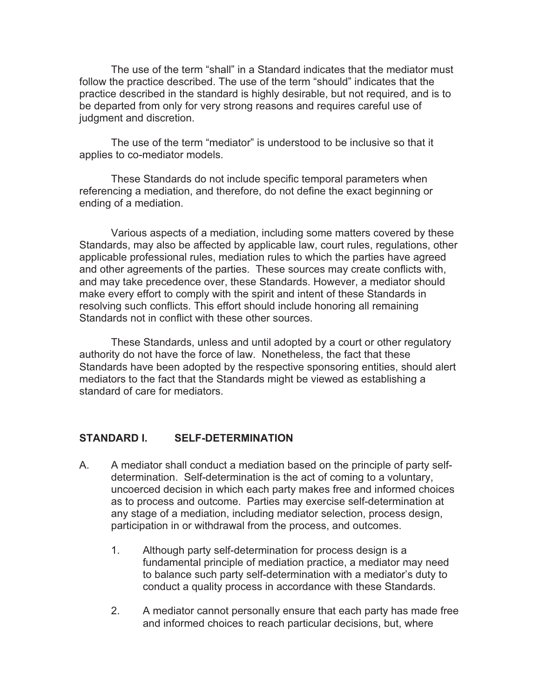The use of the term "shall" in a Standard indicates that the mediator must follow the practice described. The use of the term "should" indicates that the practice described in the standard is highly desirable, but not required, and is to be departed from only for very strong reasons and requires careful use of judgment and discretion.

The use of the term "mediator" is understood to be inclusive so that it applies to co-mediator models.

These Standards do not include specific temporal parameters when referencing a mediation, and therefore, do not define the exact beginning or ending of a mediation.

Various aspects of a mediation, including some matters covered by these Standards, may also be affected by applicable law, court rules, regulations, other applicable professional rules, mediation rules to which the parties have agreed and other agreements of the parties. These sources may create conflicts with, and may take precedence over, these Standards. However, a mediator should make every effort to comply with the spirit and intent of these Standards in resolving such conflicts. This effort should include honoring all remaining Standards not in conflict with these other sources.

These Standards, unless and until adopted by a court or other regulatory authority do not have the force of law. Nonetheless, the fact that these Standards have been adopted by the respective sponsoring entities, should alert mediators to the fact that the Standards might be viewed as establishing a standard of care for mediators.

#### **STANDARD I. SELF-DETERMINATION**

- A. A mediator shall conduct a mediation based on the principle of party selfdetermination. Self-determination is the act of coming to a voluntary, uncoerced decision in which each party makes free and informed choices as to process and outcome. Parties may exercise self-determination at any stage of a mediation, including mediator selection, process design, participation in or withdrawal from the process, and outcomes.
	- 1. Although party self-determination for process design is a fundamental principle of mediation practice, a mediator may need to balance such party self-determination with a mediator's duty to conduct a quality process in accordance with these Standards.
	- 2. A mediator cannot personally ensure that each party has made free and informed choices to reach particular decisions, but, where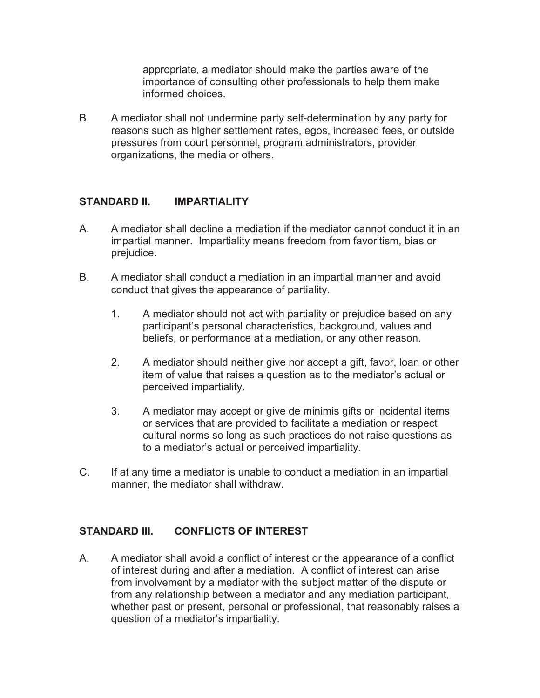appropriate, a mediator should make the parties aware of the importance of consulting other professionals to help them make informed choices.

B. A mediator shall not undermine party self-determination by any party for reasons such as higher settlement rates, egos, increased fees, or outside pressures from court personnel, program administrators, provider organizations, the media or others.

#### **STANDARD II. IMPARTIALITY**

- A. A mediator shall decline a mediation if the mediator cannot conduct it in an impartial manner. Impartiality means freedom from favoritism, bias or prejudice.
- B. A mediator shall conduct a mediation in an impartial manner and avoid conduct that gives the appearance of partiality.
	- 1. A mediator should not act with partiality or prejudice based on any participant's personal characteristics, background, values and beliefs, or performance at a mediation, or any other reason.
	- 2. A mediator should neither give nor accept a gift, favor, loan or other item of value that raises a question as to the mediator's actual or perceived impartiality.
	- 3. A mediator may accept or give de minimis gifts or incidental items or services that are provided to facilitate a mediation or respect cultural norms so long as such practices do not raise questions as to a mediator's actual or perceived impartiality.
- C. If at any time a mediator is unable to conduct a mediation in an impartial manner, the mediator shall withdraw.

#### **STANDARD III. CONFLICTS OF INTEREST**

A. A mediator shall avoid a conflict of interest or the appearance of a conflict of interest during and after a mediation. A conflict of interest can arise from involvement by a mediator with the subject matter of the dispute or from any relationship between a mediator and any mediation participant, whether past or present, personal or professional, that reasonably raises a question of a mediator's impartiality.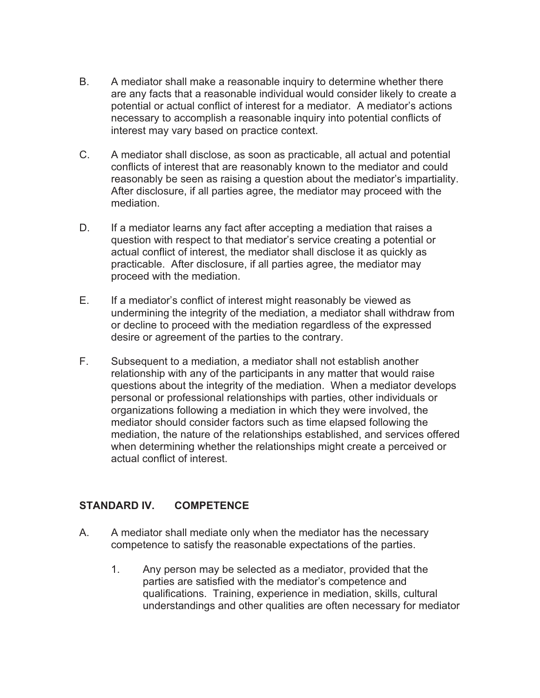- B. A mediator shall make a reasonable inquiry to determine whether there are any facts that a reasonable individual would consider likely to create a potential or actual conflict of interest for a mediator. A mediator's actions necessary to accomplish a reasonable inquiry into potential conflicts of interest may vary based on practice context.
- C. A mediator shall disclose, as soon as practicable, all actual and potential conflicts of interest that are reasonably known to the mediator and could reasonably be seen as raising a question about the mediator's impartiality. After disclosure, if all parties agree, the mediator may proceed with the mediation.
- D. If a mediator learns any fact after accepting a mediation that raises a question with respect to that mediator's service creating a potential or actual conflict of interest, the mediator shall disclose it as quickly as practicable. After disclosure, if all parties agree, the mediator may proceed with the mediation.
- E. If a mediator's conflict of interest might reasonably be viewed as undermining the integrity of the mediation, a mediator shall withdraw from or decline to proceed with the mediation regardless of the expressed desire or agreement of the parties to the contrary.
- F. Subsequent to a mediation, a mediator shall not establish another relationship with any of the participants in any matter that would raise questions about the integrity of the mediation. When a mediator develops personal or professional relationships with parties, other individuals or organizations following a mediation in which they were involved, the mediator should consider factors such as time elapsed following the mediation, the nature of the relationships established, and services offered when determining whether the relationships might create a perceived or actual conflict of interest.

#### **STANDARD IV. COMPETENCE**

- A. A mediator shall mediate only when the mediator has the necessary competence to satisfy the reasonable expectations of the parties.
	- 1. Any person may be selected as a mediator, provided that the parties are satisfied with the mediator's competence and qualifications. Training, experience in mediation, skills, cultural understandings and other qualities are often necessary for mediator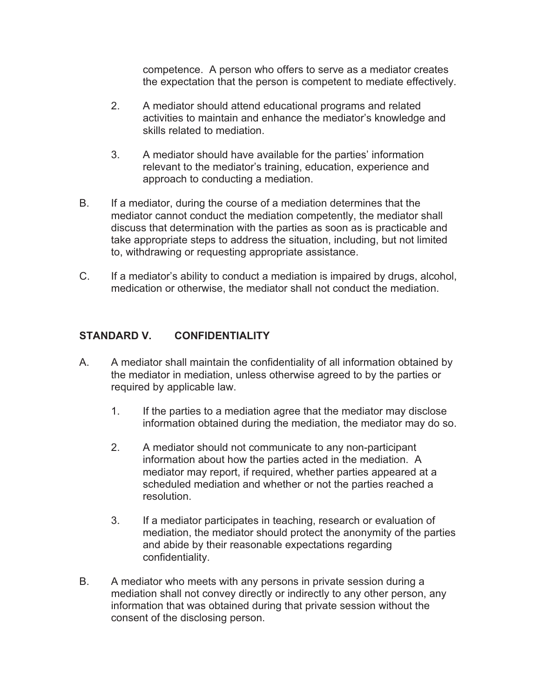competence. A person who offers to serve as a mediator creates the expectation that the person is competent to mediate effectively.

- 2. A mediator should attend educational programs and related activities to maintain and enhance the mediator's knowledge and skills related to mediation.
- 3. A mediator should have available for the parties' information relevant to the mediator's training, education, experience and approach to conducting a mediation.
- B. If a mediator, during the course of a mediation determines that the mediator cannot conduct the mediation competently, the mediator shall discuss that determination with the parties as soon as is practicable and take appropriate steps to address the situation, including, but not limited to, withdrawing or requesting appropriate assistance.
- C. If a mediator's ability to conduct a mediation is impaired by drugs, alcohol, medication or otherwise, the mediator shall not conduct the mediation.

#### **STANDARD V. CONFIDENTIALITY**

- A. A mediator shall maintain the confidentiality of all information obtained by the mediator in mediation, unless otherwise agreed to by the parties or required by applicable law.
	- 1. If the parties to a mediation agree that the mediator may disclose information obtained during the mediation, the mediator may do so.
	- 2. A mediator should not communicate to any non-participant information about how the parties acted in the mediation. A mediator may report, if required, whether parties appeared at a scheduled mediation and whether or not the parties reached a resolution.
	- 3. If a mediator participates in teaching, research or evaluation of mediation, the mediator should protect the anonymity of the parties and abide by their reasonable expectations regarding confidentiality.
- B. A mediator who meets with any persons in private session during a mediation shall not convey directly or indirectly to any other person, any information that was obtained during that private session without the consent of the disclosing person.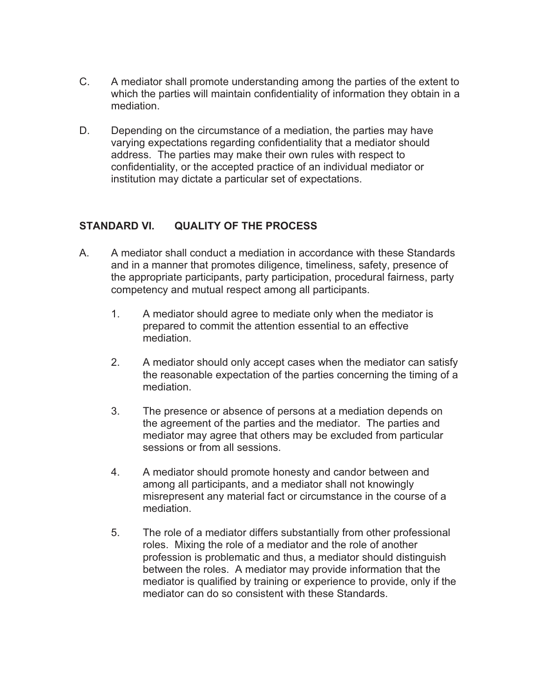- C. A mediator shall promote understanding among the parties of the extent to which the parties will maintain confidentiality of information they obtain in a mediation.
- D. Depending on the circumstance of a mediation, the parties may have varying expectations regarding confidentiality that a mediator should address. The parties may make their own rules with respect to confidentiality, or the accepted practice of an individual mediator or institution may dictate a particular set of expectations.

#### **STANDARD VI. QUALITY OF THE PROCESS**

- A. A mediator shall conduct a mediation in accordance with these Standards and in a manner that promotes diligence, timeliness, safety, presence of the appropriate participants, party participation, procedural fairness, party competency and mutual respect among all participants.
	- 1. A mediator should agree to mediate only when the mediator is prepared to commit the attention essential to an effective mediation.
	- 2. A mediator should only accept cases when the mediator can satisfy the reasonable expectation of the parties concerning the timing of a mediation.
	- 3. The presence or absence of persons at a mediation depends on the agreement of the parties and the mediator. The parties and mediator may agree that others may be excluded from particular sessions or from all sessions.
	- 4. A mediator should promote honesty and candor between and among all participants, and a mediator shall not knowingly misrepresent any material fact or circumstance in the course of a mediation.
	- 5. The role of a mediator differs substantially from other professional roles. Mixing the role of a mediator and the role of another profession is problematic and thus, a mediator should distinguish between the roles. A mediator may provide information that the mediator is qualified by training or experience to provide, only if the mediator can do so consistent with these Standards.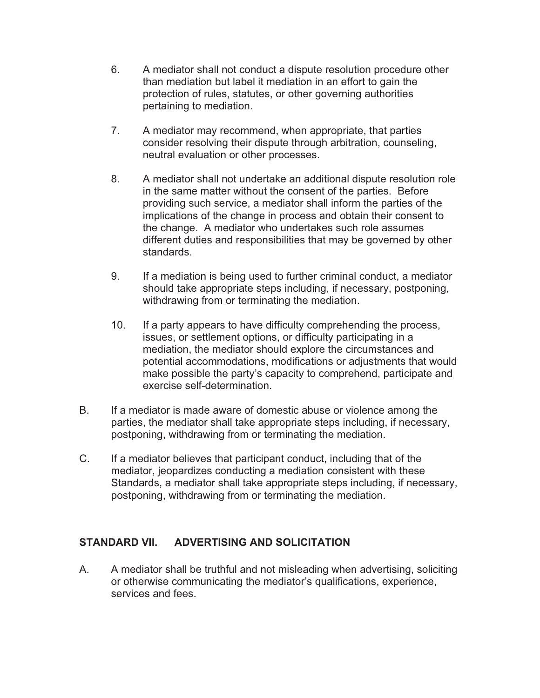- 6. A mediator shall not conduct a dispute resolution procedure other than mediation but label it mediation in an effort to gain the protection of rules, statutes, or other governing authorities pertaining to mediation.
- 7. A mediator may recommend, when appropriate, that parties consider resolving their dispute through arbitration, counseling, neutral evaluation or other processes.
- 8. A mediator shall not undertake an additional dispute resolution role in the same matter without the consent of the parties. Before providing such service, a mediator shall inform the parties of the implications of the change in process and obtain their consent to the change. A mediator who undertakes such role assumes different duties and responsibilities that may be governed by other standards.
- 9. If a mediation is being used to further criminal conduct, a mediator should take appropriate steps including, if necessary, postponing, withdrawing from or terminating the mediation.
- 10. If a party appears to have difficulty comprehending the process, issues, or settlement options, or difficulty participating in a mediation, the mediator should explore the circumstances and potential accommodations, modifications or adjustments that would make possible the party's capacity to comprehend, participate and exercise self-determination.
- B. If a mediator is made aware of domestic abuse or violence among the parties, the mediator shall take appropriate steps including, if necessary, postponing, withdrawing from or terminating the mediation.
- C. If a mediator believes that participant conduct, including that of the mediator, jeopardizes conducting a mediation consistent with these Standards, a mediator shall take appropriate steps including, if necessary, postponing, withdrawing from or terminating the mediation.

#### **STANDARD VII. ADVERTISING AND SOLICITATION**

A. A mediator shall be truthful and not misleading when advertising, soliciting or otherwise communicating the mediator's qualifications, experience, services and fees.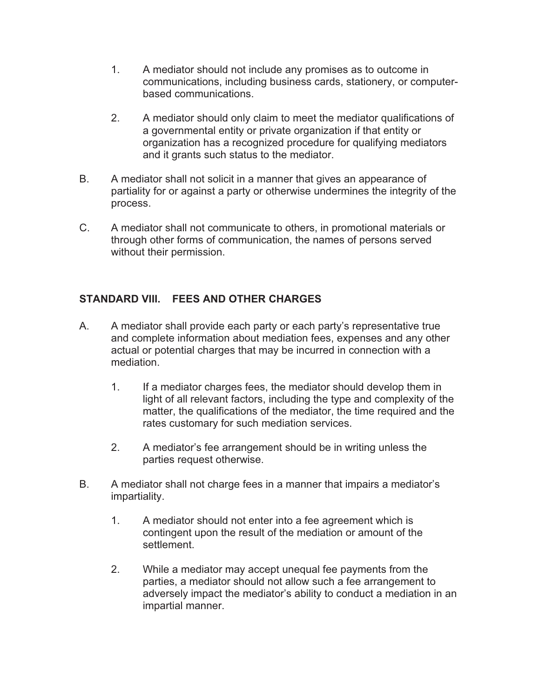- 1. A mediator should not include any promises as to outcome in communications, including business cards, stationery, or computerbased communications.
- 2. A mediator should only claim to meet the mediator qualifications of a governmental entity or private organization if that entity or organization has a recognized procedure for qualifying mediators and it grants such status to the mediator.
- B. A mediator shall not solicit in a manner that gives an appearance of partiality for or against a party or otherwise undermines the integrity of the process.
- C. A mediator shall not communicate to others, in promotional materials or through other forms of communication, the names of persons served without their permission.

#### **STANDARD VIII. FEES AND OTHER CHARGES**

- A. A mediator shall provide each party or each party's representative true and complete information about mediation fees, expenses and any other actual or potential charges that may be incurred in connection with a mediation.
	- 1. If a mediator charges fees, the mediator should develop them in light of all relevant factors, including the type and complexity of the matter, the qualifications of the mediator, the time required and the rates customary for such mediation services.
	- 2. A mediator's fee arrangement should be in writing unless the parties request otherwise.
- B. A mediator shall not charge fees in a manner that impairs a mediator's impartiality.
	- 1. A mediator should not enter into a fee agreement which is contingent upon the result of the mediation or amount of the settlement.
	- 2. While a mediator may accept unequal fee payments from the parties, a mediator should not allow such a fee arrangement to adversely impact the mediator's ability to conduct a mediation in an impartial manner.